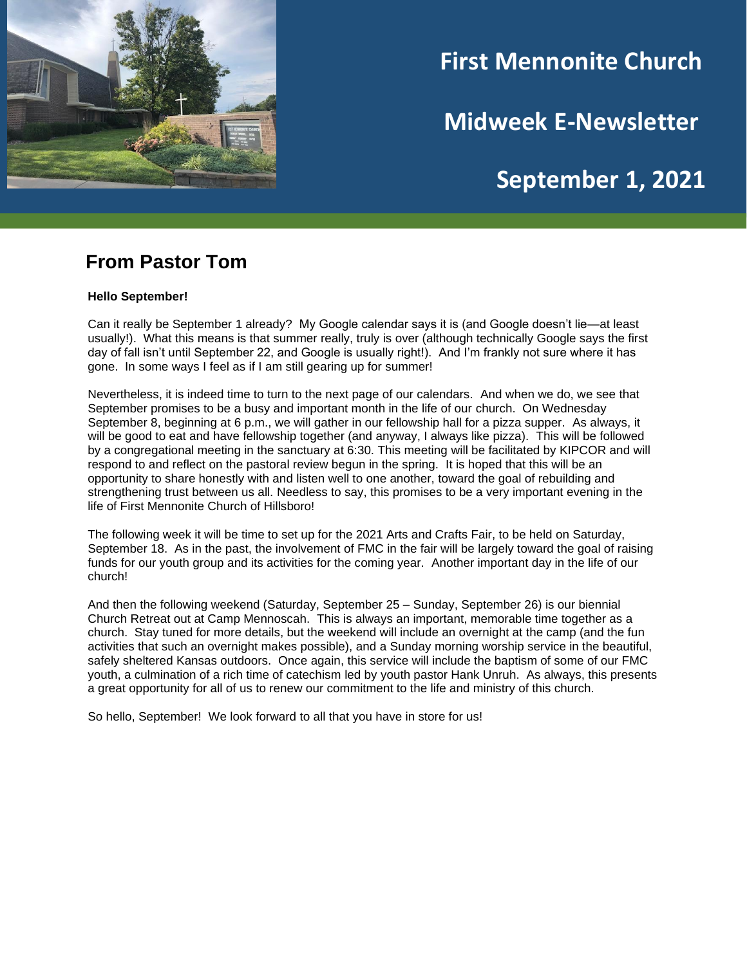

# **First Mennonite Church**

**Midweek E-Newsletter**

# **September 1, 2021**

**202120212021**

### **From Pastor Tom**

#### **Hello September!**

Can it really be September 1 already? My Google calendar says it is (and Google doesn't lie—at least usually!). What this means is that summer really, truly is over (although technically Google says the first day of fall isn't until September 22, and Google is usually right!). And I'm frankly not sure where it has gone. In some ways I feel as if I am still gearing up for summer!

Nevertheless, it is indeed time to turn to the next page of our calendars. And when we do, we see that September promises to be a busy and important month in the life of our church. On Wednesday September 8, beginning at 6 p.m., we will gather in our fellowship hall for a pizza supper. As always, it will be good to eat and have fellowship together (and anyway, I always like pizza). This will be followed by a congregational meeting in the sanctuary at 6:30. This meeting will be facilitated by KIPCOR and will respond to and reflect on the pastoral review begun in the spring. It is hoped that this will be an opportunity to share honestly with and listen well to one another, toward the goal of rebuilding and strengthening trust between us all. Needless to say, this promises to be a very important evening in the life of First Mennonite Church of Hillsboro!

The following week it will be time to set up for the 2021 Arts and Crafts Fair, to be held on Saturday, September 18. As in the past, the involvement of FMC in the fair will be largely toward the goal of raising funds for our youth group and its activities for the coming year. Another important day in the life of our church!

And then the following weekend (Saturday, September 25 – Sunday, September 26) is our biennial Church Retreat out at Camp Mennoscah. This is always an important, memorable time together as a church. Stay tuned for more details, but the weekend will include an overnight at the camp (and the fun activities that such an overnight makes possible), and a Sunday morning worship service in the beautiful, safely sheltered Kansas outdoors. Once again, this service will include the baptism of some of our FMC youth, a culmination of a rich time of catechism led by youth pastor Hank Unruh. As always, this presents a great opportunity for all of us to renew our commitment to the life and ministry of this church.

So hello, September! We look forward to all that you have in store for us!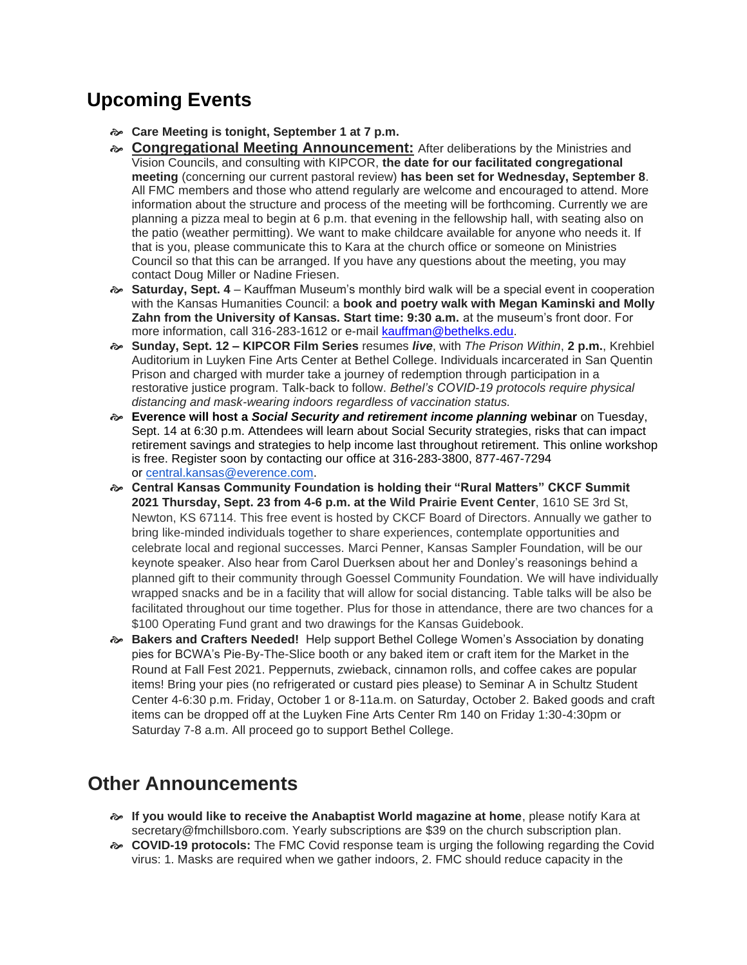## **Upcoming Events**

- **Care Meeting is tonight, September 1 at 7 p.m.**
- **Congregational Meeting Announcement:** After deliberations by the Ministries and Vision Councils, and consulting with KIPCOR, **the date for our facilitated congregational meeting** (concerning our current pastoral review) **has been set for Wednesday, September 8**. All FMC members and those who attend regularly are welcome and encouraged to attend. More information about the structure and process of the meeting will be forthcoming. Currently we are planning a pizza meal to begin at 6 p.m. that evening in the fellowship hall, with seating also on the patio (weather permitting). We want to make childcare available for anyone who needs it. If that is you, please communicate this to Kara at the church office or someone on Ministries Council so that this can be arranged. If you have any questions about the meeting, you may contact Doug Miller or Nadine Friesen.
- **Saturday, Sept. 4** Kauffman Museum's monthly bird walk will be a special event in cooperation with the Kansas Humanities Council: a **book and poetry walk with Megan Kaminski and Molly Zahn from the University of Kansas. Start time: 9:30 a.m.** at the museum's front door. For more information, call 316-283-1612 or e-mail [kauffman@bethelks.edu.](mailto:Kauffman@bethelks.edu)
- **Sunday, Sept. 12 – KIPCOR Film Series** resumes *live*, with *The Prison Within*, **2 p.m.**, Krehbiel Auditorium in Luyken Fine Arts Center at Bethel College. Individuals incarcerated in San Quentin Prison and charged with murder take a journey of redemption through participation in a restorative justice program. Talk-back to follow. *Bethel's COVID-19 protocols require physical distancing and mask-wearing indoors regardless of vaccination status.*
- **Everence will host a** *Social Security and retirement income planning* **webinar** on Tuesday, Sept. 14 at 6:30 p.m. Attendees will learn about Social Security strategies, risks that can impact retirement savings and strategies to help income last throughout retirement. This online workshop is free. Register soon by contacting our office at 316-283-3800, 877-467-7294 or [central.kansas@everence.com.](mailto:central.kansas@everence.com)
- **Central Kansas Community Foundation is holding their "Rural Matters" CKCF Summit 2021 Thursday, Sept. 23 from 4-6 p.m. at the Wild Prairie Event Center**, 1610 SE 3rd St, Newton, KS 67114. This free event is hosted by CKCF Board of Directors. Annually we gather to bring like-minded individuals together to share experiences, contemplate opportunities and celebrate local and regional successes. Marci Penner, Kansas Sampler Foundation, will be our keynote speaker. Also hear from Carol Duerksen about her and Donley's reasonings behind a planned gift to their community through Goessel Community Foundation. We will have individually wrapped snacks and be in a facility that will allow for social distancing. Table talks will be also be facilitated throughout our time together. Plus for those in attendance, there are two chances for a \$100 Operating Fund grant and two drawings for the Kansas Guidebook.
- **Bakers and Crafters Needed!** Help support Bethel College Women's Association by donating pies for BCWA's Pie-By-The-Slice booth or any baked item or craft item for the Market in the Round at Fall Fest 2021. Peppernuts, zwieback, cinnamon rolls, and coffee cakes are popular items! Bring your pies (no refrigerated or custard pies please) to Seminar A in Schultz Student Center 4-6:30 p.m. Friday, October 1 or 8-11a.m. on Saturday, October 2. Baked goods and craft items can be dropped off at the Luyken Fine Arts Center Rm 140 on Friday 1:30-4:30pm or Saturday 7-8 a.m. All proceed go to support Bethel College.

## **Other Announcements**

- **If you would like to receive the Anabaptist World magazine at home**, please notify Kara at secretary@fmchillsboro.com. Yearly subscriptions are \$39 on the church subscription plan.
- **COVID-19 protocols:** The FMC Covid response team is urging the following regarding the Covid virus: 1. Masks are required when we gather indoors, 2. FMC should reduce capacity in the